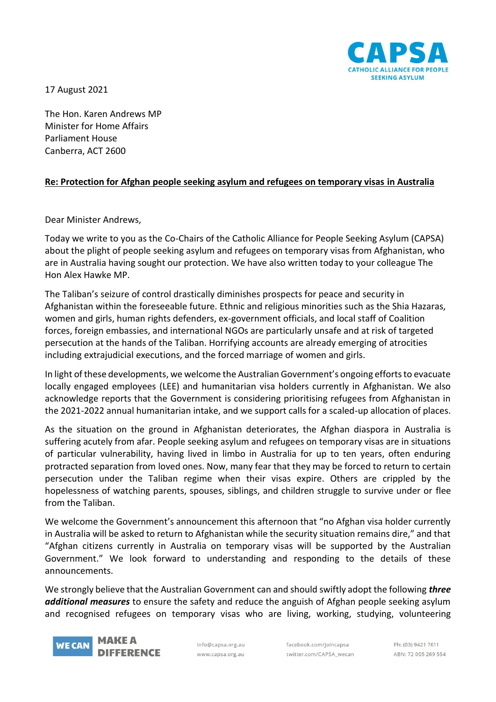

17 August 2021

The Hon. Karen Andrews MP Minister for Home Affairs Parliament House Canberra, ACT 2600

## **Re: Protection for Afghan people seeking asylum and refugees on temporary visas in Australia**

Dear Minister Andrews,

Today we write to you as the Co-Chairs of the Catholic Alliance for People Seeking Asylum (CAPSA) about the plight of people seeking asylum and refugees on temporary visas from Afghanistan, who are in Australia having sought our protection. We have also written today to your colleague The Hon Alex Hawke MP.

The Taliban's seizure of control drastically diminishes prospects for peace and security in Afghanistan within the foreseeable future. Ethnic and religious minorities such as the Shia Hazaras, women and girls, human rights defenders, ex-government officials, and local staff of Coalition forces, foreign embassies, and international NGOs are particularly unsafe and at risk of targeted persecution at the hands of the Taliban. Horrifying accounts are already emerging of atrocities including extrajudicial executions, and the forced marriage of women and girls.

In light of these developments, we welcome the Australian Government's ongoing efforts to evacuate locally engaged employees (LEE) and humanitarian visa holders currently in Afghanistan. We also acknowledge reports that the Government is considering prioritising refugees from Afghanistan in the 2021-2022 annual humanitarian intake, and we support calls for a scaled-up allocation of places.

As the situation on the ground in Afghanistan deteriorates, the Afghan diaspora in Australia is suffering acutely from afar. People seeking asylum and refugees on temporary visas are in situations of particular vulnerability, having lived in limbo in Australia for up to ten years, often enduring protracted separation from loved ones. Now, many fear that they may be forced to return to certain persecution under the Taliban regime when their visas expire. Others are crippled by the hopelessness of watching parents, spouses, siblings, and children struggle to survive under or flee from the Taliban.

We welcome the Government's announcement this afternoon that "no Afghan visa holder currently in Australia will be asked to return to Afghanistan while the security situation remains dire," and that "Afghan citizens currently in Australia on temporary visas will be supported by the Australian Government." We look forward to understanding and responding to the details of these announcements.

We strongly believe that the Australian Government can and should swiftly adopt the following *three additional measures* to ensure the safety and reduce the anguish of Afghan people seeking asylum and recognised refugees on temporary visas who are living, working, studying, volunteering



info@capsa.org.au www.capsa.org.au

facebook.com/joincapsa twitter.com/CAPSA wecan

Ph: (03) 9421 7611 ABN: 72 005 269 554